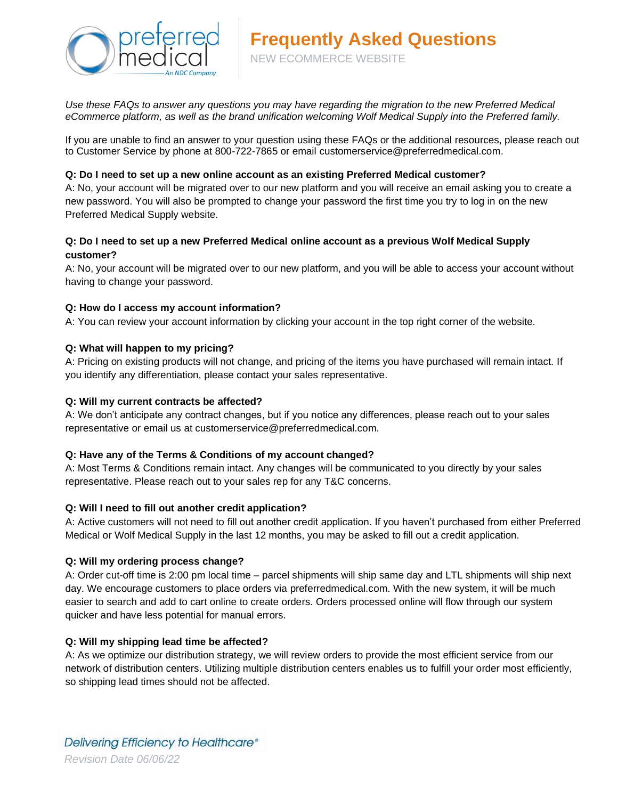

*Use these FAQs to answer any questions you may have regarding the migration to the new Preferred Medical eCommerce platform, as well as the brand unification welcoming Wolf Medical Supply into the Preferred family.*

If you are unable to find an answer to your question using these FAQs or the additional resources, please reach out to Customer Service by phone at 800-722-7865 or email customerservice@preferredmedical.com.

# **Q: Do I need to set up a new online account as an existing Preferred Medical customer?**

A: No, your account will be migrated over to our new platform and you will receive an email asking you to create a new password. You will also be prompted to change your password the first time you try to log in on the new Preferred Medical Supply website.

# **Q: Do I need to set up a new Preferred Medical online account as a previous Wolf Medical Supply customer?**

A: No, your account will be migrated over to our new platform, and you will be able to access your account without having to change your password.

# **Q: How do I access my account information?**

A: You can review your account information by clicking your account in the top right corner of the website.

# **Q: What will happen to my pricing?**

A: Pricing on existing products will not change, and pricing of the items you have purchased will remain intact. If you identify any differentiation, please contact your sales representative.

# **Q: Will my current contracts be affected?**

A: We don't anticipate any contract changes, but if you notice any differences, please reach out to your sales representative or email us at customerservice@preferredmedical.com.

# **Q: Have any of the Terms & Conditions of my account changed?**

A: Most Terms & Conditions remain intact. Any changes will be communicated to you directly by your sales representative. Please reach out to your sales rep for any T&C concerns.

# **Q: Will I need to fill out another credit application?**

A: Active customers will not need to fill out another credit application. If you haven't purchased from either Preferred Medical or Wolf Medical Supply in the last 12 months, you may be asked to fill out a credit application.

# **Q: Will my ordering process change?**

A: Order cut-off time is 2:00 pm local time – parcel shipments will ship same day and LTL shipments will ship next day. We encourage customers to place orders via preferredmedical.com. With the new system, it will be much easier to search and add to cart online to create orders. Orders processed online will flow through our system quicker and have less potential for manual errors.

# **Q: Will my shipping lead time be affected?**

A: As we optimize our distribution strategy, we will review orders to provide the most efficient service from our network of distribution centers. Utilizing multiple distribution centers enables us to fulfill your order most efficiently, so shipping lead times should not be affected.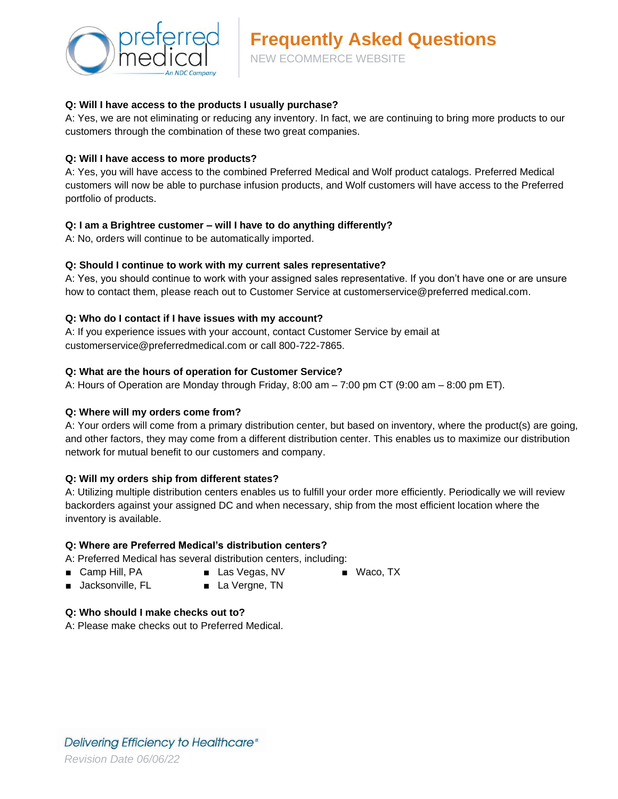

# **Q: Will I have access to the products I usually purchase?**

A: Yes, we are not eliminating or reducing any inventory. In fact, we are continuing to bring more products to our customers through the combination of these two great companies.

#### **Q: Will I have access to more products?**

A: Yes, you will have access to the combined Preferred Medical and Wolf product catalogs. Preferred Medical customers will now be able to purchase infusion products, and Wolf customers will have access to the Preferred portfolio of products.

# **Q: I am a Brightree customer – will I have to do anything differently?**

A: No, orders will continue to be automatically imported.

# **Q: Should I continue to work with my current sales representative?**

A: Yes, you should continue to work with your assigned sales representative. If you don't have one or are unsure how to contact them, please reach out to Customer Service at customerservice@preferred medical.com.

# **Q: Who do I contact if I have issues with my account?**

A: If you experience issues with your account, contact Customer Service by email at customerservice@preferredmedical.com or call 800-722-7865.

# **Q: What are the hours of operation for Customer Service?**

A: Hours of Operation are Monday through Friday, 8:00 am – 7:00 pm CT (9:00 am – 8:00 pm ET).

# **Q: Where will my orders come from?**

A: Your orders will come from a primary distribution center, but based on inventory, where the product(s) are going, and other factors, they may come from a different distribution center. This enables us to maximize our distribution network for mutual benefit to our customers and company.

# **Q: Will my orders ship from different states?**

A: Utilizing multiple distribution centers enables us to fulfill your order more efficiently. Periodically we will review backorders against your assigned DC and when necessary, ship from the most efficient location where the inventory is available.

■ Waco, TX

# **Q: Where are Preferred Medical's distribution centers?**

A: Preferred Medical has several distribution centers, including:

- Camp Hill, PA
- Las Vegas, NV
- Jacksonville, FL
- La Vergne, TN
- **Q: Who should I make checks out to?**
- A: Please make checks out to Preferred Medical.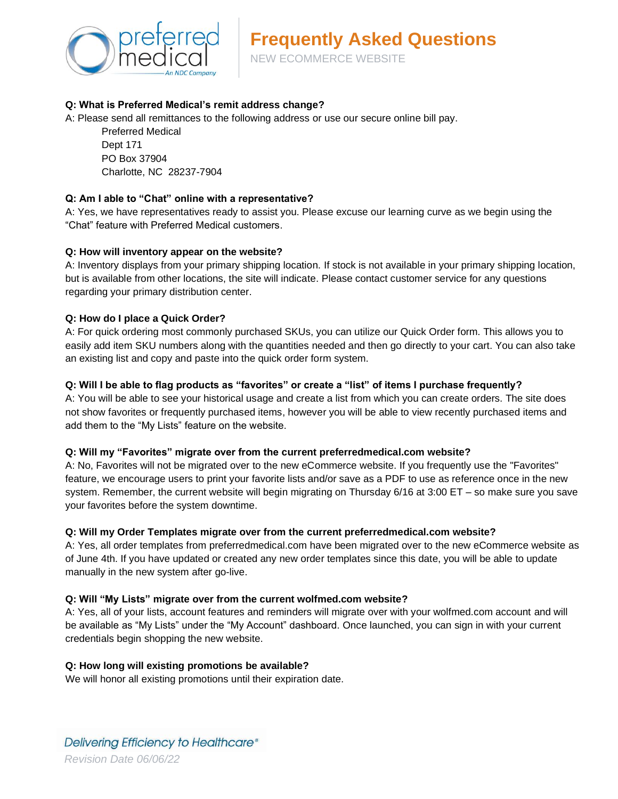

# **Q: What is Preferred Medical's remit address change?**

A: Please send all remittances to the following address or use our secure online bill pay.

Preferred Medical Dept 171 PO Box 37904 Charlotte, NC 28237-7904

# **Q: Am I able to "Chat" online with a representative?**

A: Yes, we have representatives ready to assist you. Please excuse our learning curve as we begin using the "Chat" feature with Preferred Medical customers.

#### **Q: How will inventory appear on the website?**

A: Inventory displays from your primary shipping location. If stock is not available in your primary shipping location, but is available from other locations, the site will indicate. Please contact customer service for any questions regarding your primary distribution center.

#### **Q: How do I place a Quick Order?**

A: For quick ordering most commonly purchased SKUs, you can utilize our Quick Order form. This allows you to easily add item SKU numbers along with the quantities needed and then go directly to your cart. You can also take an existing list and copy and paste into the quick order form system.

#### **Q: Will I be able to flag products as "favorites" or create a "list" of items I purchase frequently?**

A: You will be able to see your historical usage and create a list from which you can create orders. The site does not show favorites or frequently purchased items, however you will be able to view recently purchased items and add them to the "My Lists" feature on the website.

# **Q: Will my "Favorites" migrate over from the current preferredmedical.com website?**

A: No, Favorites will not be migrated over to the new eCommerce website. If you frequently use the "Favorites" feature, we encourage users to print your favorite lists and/or save as a PDF to use as reference once in the new system. Remember, the current website will begin migrating on Thursday 6/16 at 3:00 ET – so make sure you save your favorites before the system downtime.

#### **Q: Will my Order Templates migrate over from the current preferredmedical.com website?**

A: Yes, all order templates from preferredmedical.com have been migrated over to the new eCommerce website as of June 4th. If you have updated or created any new order templates since this date, you will be able to update manually in the new system after go-live.

#### **Q: Will "My Lists" migrate over from the current wolfmed.com website?**

A: Yes, all of your lists, account features and reminders will migrate over with your wolfmed.com account and will be available as "My Lists" under the "My Account" dashboard. Once launched, you can sign in with your current credentials begin shopping the new website.

#### **Q: How long will existing promotions be available?**

We will honor all existing promotions until their expiration date.